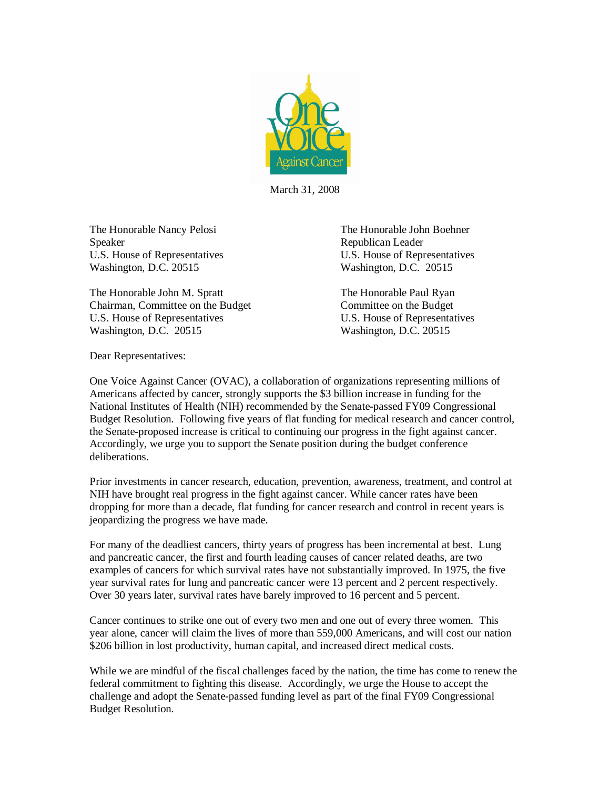

March 31, 2008

The Honorable Nancy Pelosi The Honorable John Boehner Speaker Republican Leader U.S. House of Representatives U.S. House of Representatives Washington, D.C. 20515 Washington, D.C. 20515

The Honorable John M. Spratt The Honorable Paul Ryan Chairman, Committee on the Budget Committee on the Budget U.S. House of Representatives U.S. House of Representatives Washington, D.C. 20515 Washington, D.C. 20515

Dear Representatives:

One Voice Against Cancer (OVAC), a collaboration of organizations representing millions of Americans affected by cancer, strongly supports the \$3 billion increase in funding for the National Institutes of Health (NIH) recommended by the Senate-passed FY09 Congressional Budget Resolution. Following five years of flat funding for medical research and cancer control, the Senate-proposed increase is critical to continuing our progress in the fight against cancer. Accordingly, we urge you to support the Senate position during the budget conference deliberations.

Prior investments in cancer research, education, prevention, awareness, treatment, and control at NIH have brought real progress in the fight against cancer. While cancer rates have been dropping for more than a decade, flat funding for cancer research and control in recent years is jeopardizing the progress we have made.

For many of the deadliest cancers, thirty years of progress has been incremental at best. Lung and pancreatic cancer, the first and fourth leading causes of cancer related deaths, are two examples of cancers for which survival rates have not substantially improved. In 1975, the five year survival rates for lung and pancreatic cancer were 13 percent and 2 percent respectively. Over 30 years later, survival rates have barely improved to 16 percent and 5 percent.

Cancer continues to strike one out of every two men and one out of every three women. This year alone, cancer will claim the lives of more than 559,000 Americans, and will cost our nation \$206 billion in lost productivity, human capital, and increased direct medical costs.

While we are mindful of the fiscal challenges faced by the nation, the time has come to renew the federal commitment to fighting this disease. Accordingly, we urge the House to accept the challenge and adopt the Senate-passed funding level as part of the final FY09 Congressional Budget Resolution.